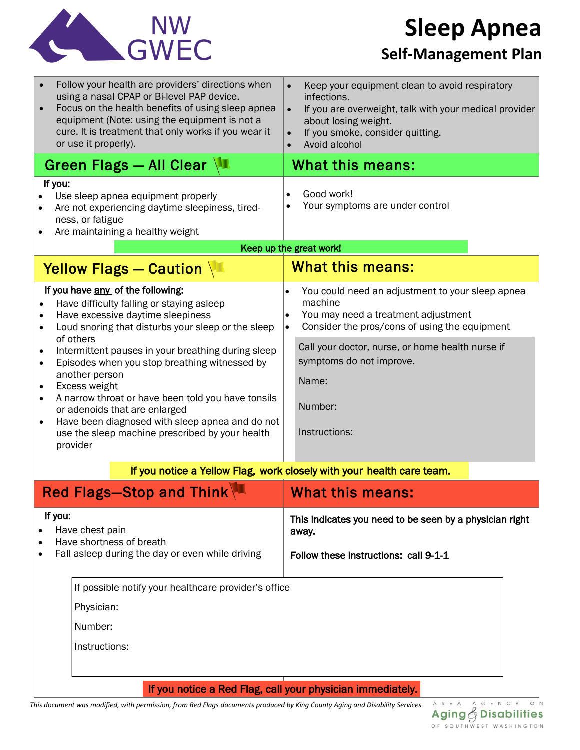

# **Sleep Apnea**

## **Self-Management Plan**

| $\bullet$                                                             | Follow your health are providers' directions when<br>using a nasal CPAP or Bi-level PAP device.<br>Focus on the health benefits of using sleep apnea<br>equipment (Note: using the equipment is not a<br>cure. It is treatment that only works if you wear it<br>or use it properly). | Keep your equipment clean to avoid respiratory<br>infections.<br>If you are overweight, talk with your medical provider<br>$\bullet$<br>about losing weight.<br>If you smoke, consider quitting.<br>Avoid alcohol |
|-----------------------------------------------------------------------|---------------------------------------------------------------------------------------------------------------------------------------------------------------------------------------------------------------------------------------------------------------------------------------|-------------------------------------------------------------------------------------------------------------------------------------------------------------------------------------------------------------------|
|                                                                       | Green Flags - All Clear $\sqrt{2}$                                                                                                                                                                                                                                                    | What this means:                                                                                                                                                                                                  |
|                                                                       | If you:<br>Use sleep apnea equipment properly<br>Are not experiencing daytime sleepiness, tired-<br>ness, or fatigue<br>Are maintaining a healthy weight                                                                                                                              | Good work!<br>Your symptoms are under control                                                                                                                                                                     |
|                                                                       |                                                                                                                                                                                                                                                                                       | Keep up the great work!<br><b>What this means:</b>                                                                                                                                                                |
|                                                                       | Yellow Flags - Caution                                                                                                                                                                                                                                                                |                                                                                                                                                                                                                   |
| $\bullet$<br>$\bullet$<br>$\bullet$                                   | If you have any of the following:<br>Have difficulty falling or staying asleep<br>Have excessive daytime sleepiness<br>Loud snoring that disturbs your sleep or the sleep<br>of others<br>Intermittent pauses in your breathing during sleep                                          | You could need an adjustment to your sleep apnea<br>machine<br>You may need a treatment adjustment<br>Consider the pros/cons of using the equipment<br>Call your doctor, nurse, or home health nurse if           |
| $\bullet$<br>$\bullet$                                                | Episodes when you stop breathing witnessed by<br>another person<br>Excess weight                                                                                                                                                                                                      | symptoms do not improve.<br>Name:                                                                                                                                                                                 |
| $\bullet$<br>$\bullet$                                                | A narrow throat or have been told you have tonsils<br>or adenoids that are enlarged<br>Have been diagnosed with sleep apnea and do not<br>use the sleep machine prescribed by your health<br>provider                                                                                 | Number:<br>Instructions:                                                                                                                                                                                          |
| If you notice a Yellow Flag, work closely with your health care team. |                                                                                                                                                                                                                                                                                       |                                                                                                                                                                                                                   |
|                                                                       | <b>Red Flags-Stop and Think</b>                                                                                                                                                                                                                                                       | <b>What this means:</b>                                                                                                                                                                                           |
|                                                                       | If you:<br>Have chest pain<br>Have shortness of breath                                                                                                                                                                                                                                | This indicates you need to be seen by a physician right<br>away.                                                                                                                                                  |
|                                                                       | Fall asleep during the day or even while driving                                                                                                                                                                                                                                      | Follow these instructions: call 9-1-1                                                                                                                                                                             |
| If possible notify your healthcare provider's office                  |                                                                                                                                                                                                                                                                                       |                                                                                                                                                                                                                   |
|                                                                       | Physician:                                                                                                                                                                                                                                                                            |                                                                                                                                                                                                                   |
|                                                                       | Number:                                                                                                                                                                                                                                                                               |                                                                                                                                                                                                                   |
|                                                                       | Instructions:                                                                                                                                                                                                                                                                         |                                                                                                                                                                                                                   |
|                                                                       |                                                                                                                                                                                                                                                                                       |                                                                                                                                                                                                                   |
|                                                                       | If you notice a Red Flag, call your physician immediately.                                                                                                                                                                                                                            |                                                                                                                                                                                                                   |

*This document was modified, with permission, from Red Flags documents produced by King County Aging and Disability Services*